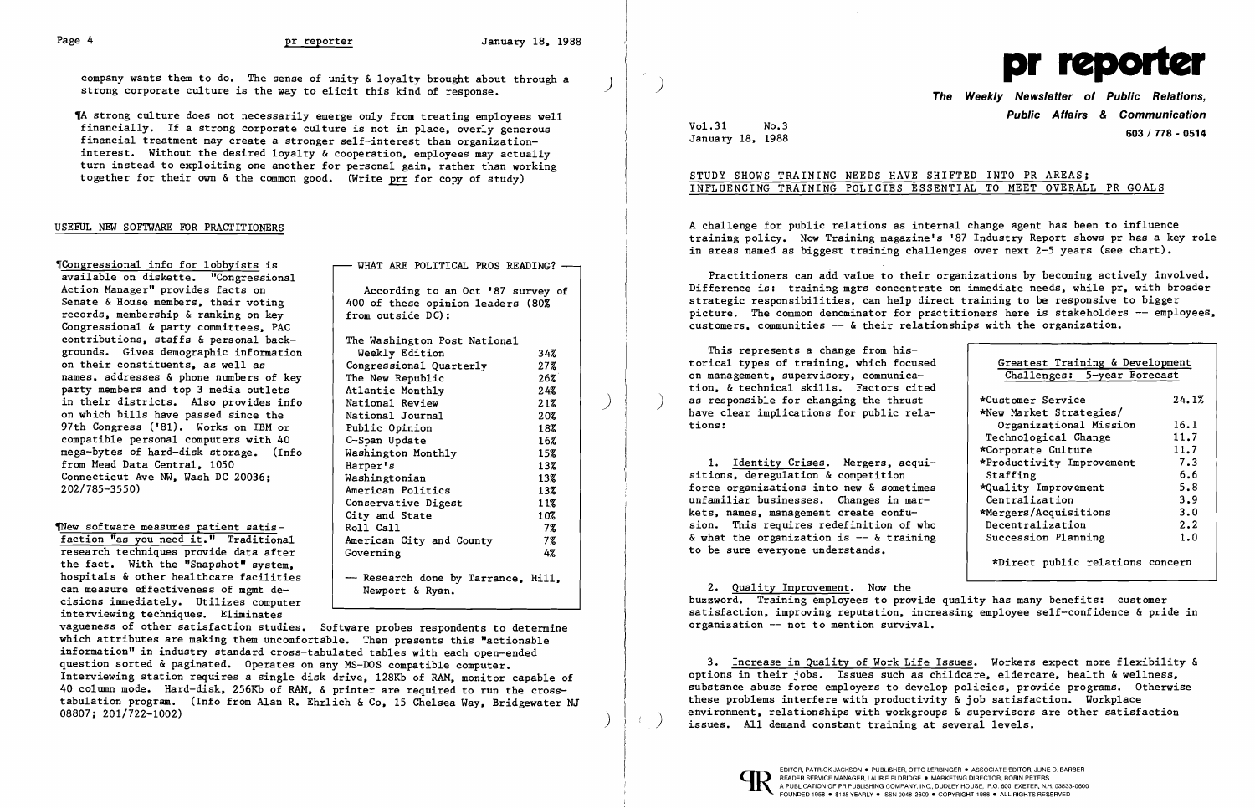According to an Oct '87 survey of 400 of these opinion leaders (80% from outside DC): The Washington Post National Weekly Edition 34% Congressional Ouarterly  $27%$ The New Republic  $26\%$ Atlantic Monthly 24% National Review 21% National Journal 20% Public Opinion 18% C-Span Update 16% Washington Monthly 15% Harper's 13% Washingtonian 13% American Politics 13% Conservative Digest 11% City and State 10%<br>Roll Call 13 13  $7\%$ American City and County  $7\%$  Governing 4% 4% -- Research done by Tarrance, Hill, - Rewport & Ryan.

WHAT ARE POLITICAL PROS READING? -

1A strong culture does not necessarily emerge only from treating employees well financially. If a strong corporate culture is not in place, overly generous financial treatment may create a stronger self-interest than organizationinterest. Without the desired loyalty & cooperation. employees may actually turn instead to exploiting one another for personal gain. rather than working together for their own & the common good. (Write prr for copy of study)

### USEFUL NEW SOFTWARE FOR PRAGrITIONERS

Tongressional info for lobbyists is available on diskette. "Congressional Action Manager" provides facts on<br>Senate & House members, their voting records. membership & ranking on key Congressional & party committees. PAC contributions. staffs  $\&$  personal backgrounds. Gives demographic information on their constituents. as well as names. addresses & phone numbers of key party members and top 3 media outlets in their districts. Also provides info on which bills have passed since the 97th Congress ('81). Works on IBM or compatible personal computers with 40 mega-bytes of hard-disk storage. (Info from Mead Data Central. 1050 Connecticut Ave NW. Wash DC 20036; 202/785-3550)

Thew software measures patient satisfaction "as you need it." Traditional research techniques provide data after the fact. With the "Snapshot" system. hospitals & other healthcare facilities can measure effectiveness of mgmt de cisions immediately. Utilizes computer interviewing techniques. Eliminates

3. Increase in Quality of Work Life Issues. Workers expect more flexibility & options in their jobs. Issues such as childcare, eldercare, health & wellness, substance abuse force employers to develop policies. provide programs. Otherwise these problems interfere with productivity  $\&$  job satisfaction. Workplace environment, relationships with workgroups & supervisors are other satisfaction issues. All demand constant training at several levels.

> EDITOR, PATRICK JACKSON . PUBLISHER, OTTO LERBINGER . ASSOCIATE EDITOR, JUNE D. BARBER<br>
> A PUBLICATION OF PR PUBLISHING COMPANY, INC., DUDLEY HOUSE, P.O. 600, EXETER, N.H. 03833-060<br>
> FOUNDED 1958 . \$145 YEARLY . ISSN 0048-2 READER SERVICE MANAGER, LAURIE ELDRIDGE · MARKETING DIRECTOR, ROBIN PETERS FOUNDED 1958 • \$145 YEARLY • ISSN 0048-2609 • COPYRIGHT 1988 • ALL RIGHTS RESERVED



vagueness of other satisfaction studies. Software probes respondents to determine which attributes are making them uncomfortable. Then presents this "actionable information" in industry standard cross-tabulated tables with each open-ended question sorted & paginated. Operates on any MS-DOS compatible computer. Interviewing station requires a single disk drive. 128Kb of RAM. monitor capable of 40 column mode. Hard-disk. 256Kb of RAM. & printer are required to run the crosstabulation program. (Info from Alan R. Ehrlich & Co. 15 Chelsea Way. Bridgewater NJ 08807; 201/722-1002)

)

pr company wants them to do. The sense of unity & loyalty brought about through a saludary is the sense of unity & loyalty brought about through a strong corporate culture is the way to elicit this kind of response. **The W** 

Vol.31 No.3

# **Public Affairs & Communication 603 I 778 - 0514** January 18. 1988

# STUDY SHOWS TRAINING NEEDS HAVE SHIFTED INTO PR AREAS; INFLUENCING TRAINING POLICIES ESSENTIAL TO MEET OVERALL PR GOALS

A challenge for public relations as internal change agent has been to influence training policy. Now Training magazine's '87 Industry Report shows pr has a key role in areas named as biggest training challenges over next 2-5 years (see chart).

Practitioners can add value to their organizations by becoming actively involved. Difference is: training mgrs concentrate on immediate needs, while pr. with broader strategic responsibilities. can help direct training to be responsive to bigger picture. The Common denominator for practitioners here is stakeholders -- employees. customers. communities -- & their relationships with the organization.

| This represents a change from his-<br>torical types of training, which focused<br>on management, supervisory, communica- | Greatest Training & Development<br>Challenges: 5-year Forecast |       |
|--------------------------------------------------------------------------------------------------------------------------|----------------------------------------------------------------|-------|
| tion, & technical skills. Factors cited                                                                                  |                                                                |       |
| as responsible for changing the thrust<br>have clear implications for public rela-                                       | *Customer Service<br>*New Market Strategies/                   | 24.1% |
| tions:                                                                                                                   | Organizational Mission                                         | 16.1  |
|                                                                                                                          | Technological Change                                           | 11.7  |
|                                                                                                                          | *Corporate Culture                                             | 11.7  |
| 1. Identity Crises. Mergers, acqui-                                                                                      | *Productivity Improvement                                      | 7.3   |
| sitions, deregulation & competition                                                                                      | Staffing                                                       | 6.6   |
| force organizations into new & sometimes                                                                                 | *Quality Improvement                                           | 5.8   |
| unfamiliar businesses. Changes in mar-                                                                                   | Centralization                                                 | 3.9   |
| kets, names, management create confu-                                                                                    | *Mergers/Acquisitions                                          | 3.0   |
| sion. This requires redefinition of who                                                                                  | Decentralization                                               | 2.2   |
| $\&$ what the organization is -- $\&$ training<br>to be sure everyone understands.                                       | Succession Planning                                            | 1.0   |
|                                                                                                                          | *Direct public relations concern                               |       |

2. Quality Improvement. Now the buzzword. Training employees to provide quality has many benefits: customer satisfaction. improving reputation. increasing employee self-confidence & pride in organization -- not to mention survival.